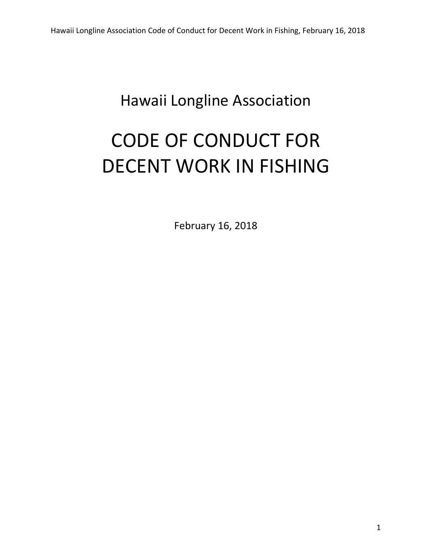## Hawaii Longline Association

# CODE OF CONDUCT FOR DECENT WORK IN FISHING

February 16, 2018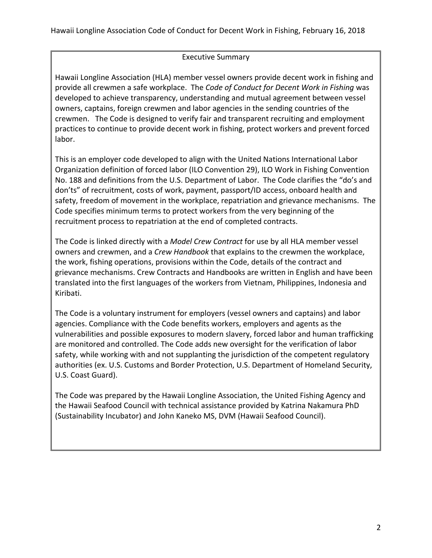#### Executive Summary

Hawaii Longline Association (HLA) member vessel owners provide decent work in fishing and provide all crewmen a safe workplace. The *Code of Conduct for Decent Work in Fishing* was developed to achieve transparency, understanding and mutual agreement between vessel owners, captains, foreign crewmen and labor agencies in the sending countries of the crewmen. The Code is designed to verify fair and transparent recruiting and employment practices to continue to provide decent work in fishing, protect workers and prevent forced labor.

This is an employer code developed to align with the United Nations International Labor Organization definition of forced labor (ILO Convention 29), ILO Work in Fishing Convention No. 188 and definitions from the U.S. Department of Labor. The Code clarifies the "do's and don'ts" of recruitment, costs of work, payment, passport/ID access, onboard health and safety, freedom of movement in the workplace, repatriation and grievance mechanisms. The Code specifies minimum terms to protect workers from the very beginning of the recruitment process to repatriation at the end of completed contracts.

The Code is linked directly with a *Model Crew Contract* for use by all HLA member vessel owners and crewmen, and a *Crew Handbook* that explains to the crewmen the workplace, the work, fishing operations, provisions within the Code, details of the contract and grievance mechanisms. Crew Contracts and Handbooks are written in English and have been translated into the first languages of the workers from Vietnam, Philippines, Indonesia and Kiribati.

The Code is a voluntary instrument for employers (vessel owners and captains) and labor agencies. Compliance with the Code benefits workers, employers and agents as the vulnerabilities and possible exposures to modern slavery, forced labor and human trafficking are monitored and controlled. The Code adds new oversight for the verification of labor safety, while working with and not supplanting the jurisdiction of the competent regulatory authorities (ex. U.S. Customs and Border Protection, U.S. Department of Homeland Security, U.S. Coast Guard).

The Code was prepared by the Hawaii Longline Association, the United Fishing Agency and the Hawaii Seafood Council with technical assistance provided by Katrina Nakamura PhD (Sustainability Incubator) and John Kaneko MS, DVM (Hawaii Seafood Council).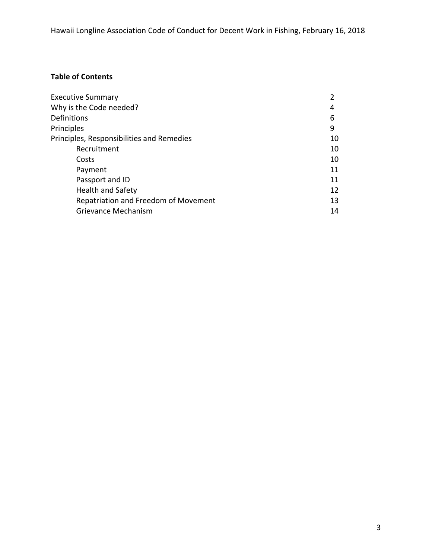### **Table of Contents**

| <b>Executive Summary</b>                  |    |
|-------------------------------------------|----|
| Why is the Code needed?                   | 4  |
| <b>Definitions</b>                        | 6  |
| Principles                                | 9  |
| Principles, Responsibilities and Remedies | 10 |
| Recruitment                               | 10 |
| Costs                                     | 10 |
| Payment                                   | 11 |
| Passport and ID                           | 11 |
| <b>Health and Safety</b>                  | 12 |
| Repatriation and Freedom of Movement      | 13 |
| Grievance Mechanism                       | 14 |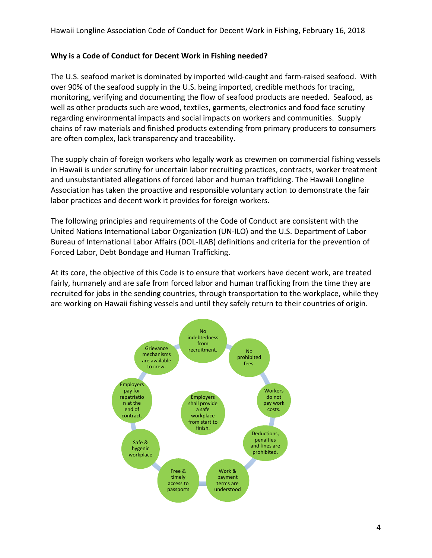#### **Why is a Code of Conduct for Decent Work in Fishing needed?**

The U.S. seafood market is dominated by imported wild‐caught and farm‐raised seafood. With over 90% of the seafood supply in the U.S. being imported, credible methods for tracing, monitoring, verifying and documenting the flow of seafood products are needed. Seafood, as well as other products such are wood, textiles, garments, electronics and food face scrutiny regarding environmental impacts and social impacts on workers and communities. Supply chains of raw materials and finished products extending from primary producers to consumers are often complex, lack transparency and traceability.

The supply chain of foreign workers who legally work as crewmen on commercial fishing vessels in Hawaii is under scrutiny for uncertain labor recruiting practices, contracts, worker treatment and unsubstantiated allegations of forced labor and human trafficking. The Hawaii Longline Association has taken the proactive and responsible voluntary action to demonstrate the fair labor practices and decent work it provides for foreign workers.

The following principles and requirements of the Code of Conduct are consistent with the United Nations International Labor Organization (UN‐ILO) and the U.S. Department of Labor Bureau of International Labor Affairs (DOL‐ILAB) definitions and criteria for the prevention of Forced Labor, Debt Bondage and Human Trafficking.

At its core, the objective of this Code is to ensure that workers have decent work, are treated fairly, humanely and are safe from forced labor and human trafficking from the time they are recruited for jobs in the sending countries, through transportation to the workplace, while they are working on Hawaii fishing vessels and until they safely return to their countries of origin.

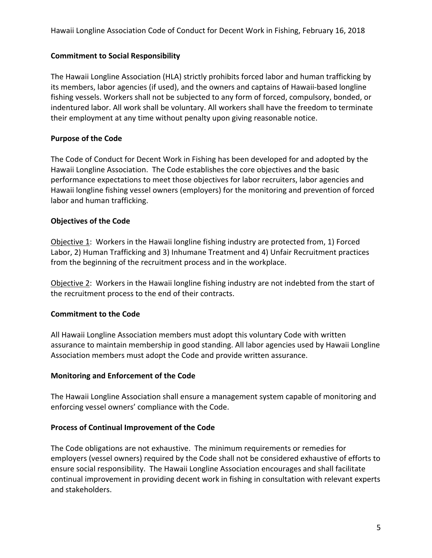#### **Commitment to Social Responsibility**

The Hawaii Longline Association (HLA) strictly prohibits forced labor and human trafficking by its members, labor agencies (if used), and the owners and captains of Hawaii‐based longline fishing vessels. Workers shall not be subjected to any form of forced, compulsory, bonded, or indentured labor. All work shall be voluntary. All workers shall have the freedom to terminate their employment at any time without penalty upon giving reasonable notice.

#### **Purpose of the Code**

The Code of Conduct for Decent Work in Fishing has been developed for and adopted by the Hawaii Longline Association. The Code establishes the core objectives and the basic performance expectations to meet those objectives for labor recruiters, labor agencies and Hawaii longline fishing vessel owners (employers) for the monitoring and prevention of forced labor and human trafficking.

#### **Objectives of the Code**

Objective 1: Workers in the Hawaii longline fishing industry are protected from, 1) Forced Labor, 2) Human Trafficking and 3) Inhumane Treatment and 4) Unfair Recruitment practices from the beginning of the recruitment process and in the workplace.

Objective 2: Workers in the Hawaii longline fishing industry are not indebted from the start of the recruitment process to the end of their contracts.

#### **Commitment to the Code**

All Hawaii Longline Association members must adopt this voluntary Code with written assurance to maintain membership in good standing. All labor agencies used by Hawaii Longline Association members must adopt the Code and provide written assurance.

#### **Monitoring and Enforcement of the Code**

The Hawaii Longline Association shall ensure a management system capable of monitoring and enforcing vessel owners' compliance with the Code.

#### **Process of Continual Improvement of the Code**

The Code obligations are not exhaustive. The minimum requirements or remedies for employers (vessel owners) required by the Code shall not be considered exhaustive of efforts to ensure social responsibility. The Hawaii Longline Association encourages and shall facilitate continual improvement in providing decent work in fishing in consultation with relevant experts and stakeholders.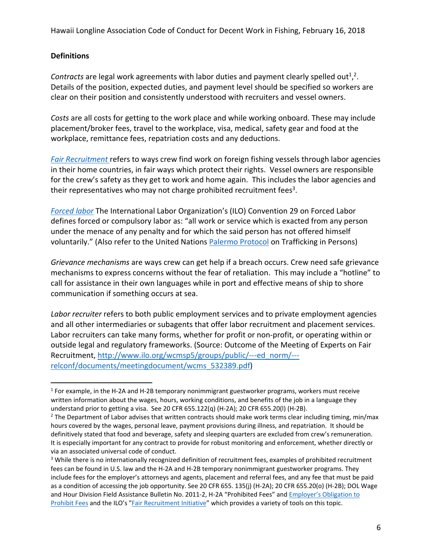#### **Definitions**

Contracts are legal work agreements with labor duties and payment clearly spelled out<sup>1</sup>,<sup>2</sup>. Details of the position, expected duties, and payment level should be specified so workers are clear on their position and consistently understood with recruiters and vessel owners.

*Costs* are all costs for getting to the work place and while working onboard. These may include placement/broker fees, travel to the workplace, visa, medical, safety gear and food at the workplace, remittance fees, repatriation costs and any deductions.

*Fair Recruitment* refers to ways crew find work on foreign fishing vessels through labor agencies in their home countries, in fair ways which protect their rights. Vessel owners are responsible for the crew's safety as they get to work and home again. This includes the labor agencies and their representatives who may not charge prohibited recruitment fees<sup>3</sup>.

*Forced labor* The International Labor Organization's (ILO) Convention 29 on Forced Labor defines forced or compulsory labor as: "all work or service which is exacted from any person under the menace of any penalty and for which the said person has not offered himself voluntarily." (Also refer to the United Nations Palermo Protocol on Trafficking in Persons)

*Grievance mechanisms* are ways crew can get help if a breach occurs. Crew need safe grievance mechanisms to express concerns without the fear of retaliation. This may include a "hotline" to call for assistance in their own languages while in port and effective means of ship to shore communication if something occurs at sea.

*Labor recruiter* refers to both public employment services and to private employment agencies and all other intermediaries or subagents that offer labor recruitment and placement services. Labor recruiters can take many forms, whether for profit or non-profit, or operating within or outside legal and regulatory frameworks. (Source: Outcome of the Meeting of Experts on Fair Recruitment, http://www.ilo.org/wcmsp5/groups/public/---ed\_norm/--relconf/documents/meetingdocument/wcms\_532389.pdf)

<sup>1</sup> For example, in the H‐2A and H‐2B temporary nonimmigrant guestworker programs, workers must receive written information about the wages, hours, working conditions, and benefits of the job in a language they understand prior to getting a visa. See 20 CFR 655.122(q) (H‐2A); 20 CFR 655.20(l) (H‐2B).

 $2$  The Department of Labor advises that written contracts should make work terms clear including timing, min/max hours covered by the wages, personal leave, payment provisions during illness, and repatriation. It should be definitively stated that food and beverage, safety and sleeping quarters are excluded from crew's remuneration. It is especially important for any contract to provide for robust monitoring and enforcement, whether directly or via an associated universal code of conduct.

<sup>&</sup>lt;sup>3</sup> While there is no internationally recognized definition of recruitment fees, examples of prohibited recruitment fees can be found in U.S. law and the H-2A and H-2B temporary nonimmigrant guestworker programs. They include fees for the employer's attorneys and agents, placement and referral fees, and any fee that must be paid as a condition of accessing the job opportunity. See 20 CFR 655. 135(j) (H‐2A); 20 CFR 655.20(o) (H‐2B); DOL Wage and Hour Division Field Assistance Bulletin No. 2011-2, H-2A "Prohibited Fees" and Employer's Obligation to Prohibit Fees and the ILO's "Fair Recruitment Initiative" which provides a variety of tools on this topic.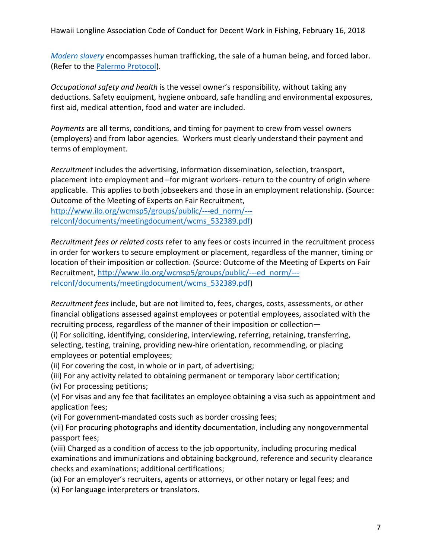*Modern slavery* encompasses human trafficking, the sale of a human being, and forced labor. (Refer to the Palermo Protocol).

*Occupational safety and health* is the vessel owner's responsibility, without taking any deductions. Safety equipment, hygiene onboard, safe handling and environmental exposures, first aid, medical attention, food and water are included.

*Payments* are all terms, conditions, and timing for payment to crew from vessel owners (employers) and from labor agencies. Workers must clearly understand their payment and terms of employment.

*Recruitment* includes the advertising, information dissemination, selection, transport, placement into employment and –for migrant workers‐ return to the country of origin where applicable. This applies to both jobseekers and those in an employment relationship. (Source: Outcome of the Meeting of Experts on Fair Recruitment, http://www.ilo.org/wcmsp5/groups/public/---ed\_norm/--relconf/documents/meetingdocument/wcms\_532389.pdf)

*Recruitment fees or related costs* refer to any fees or costs incurred in the recruitment process in order for workers to secure employment or placement, regardless of the manner, timing or location of their imposition or collection. (Source: Outcome of the Meeting of Experts on Fair Recruitment, http://www.ilo.org/wcmsp5/groups/public/---ed\_norm/--relconf/documents/meetingdocument/wcms\_532389.pdf)

*Recruitment fees* include, but are not limited to, fees, charges, costs, assessments, or other financial obligations assessed against employees or potential employees, associated with the recruiting process, regardless of the manner of their imposition or collection—

(i) For soliciting, identifying, considering, interviewing, referring, retaining, transferring, selecting, testing, training, providing new-hire orientation, recommending, or placing employees or potential employees;

(ii) For covering the cost, in whole or in part, of advertising;

(iii) For any activity related to obtaining permanent or temporary labor certification;

(iv) For processing petitions;

(v) For visas and any fee that facilitates an employee obtaining a visa such as appointment and application fees;

(vi) For government‐mandated costs such as border crossing fees;

(vii) For procuring photographs and identity documentation, including any nongovernmental passport fees;

(viii) Charged as a condition of access to the job opportunity, including procuring medical examinations and immunizations and obtaining background, reference and security clearance checks and examinations; additional certifications;

(ix) For an employer's recruiters, agents or attorneys, or other notary or legal fees; and (x) For language interpreters or translators.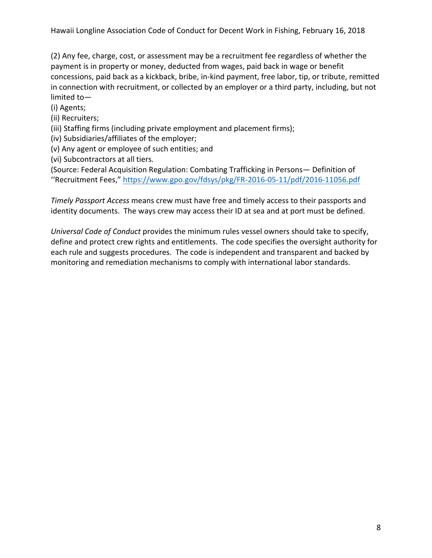(2) Any fee, charge, cost, or assessment may be a recruitment fee regardless of whether the payment is in property or money, deducted from wages, paid back in wage or benefit concessions, paid back as a kickback, bribe, in‐kind payment, free labor, tip, or tribute, remitted in connection with recruitment, or collected by an employer or a third party, including, but not limited to—

(i) Agents;

(ii) Recruiters;

(iii) Staffing firms (including private employment and placement firms);

(iv) Subsidiaries/affiliates of the employer;

(v) Any agent or employee of such entities; and

(vi) Subcontractors at all tiers.

(Source: Federal Acquisition Regulation: Combating Trafficking in Persons— Definition of ''Recruitment Fees," https://www.gpo.gov/fdsys/pkg/FR‐2016‐05‐11/pdf/2016‐11056.pdf

*Timely Passport Access* means crew must have free and timely access to their passports and identity documents. The ways crew may access their ID at sea and at port must be defined.

*Universal Code of Conduct* provides the minimum rules vessel owners should take to specify, define and protect crew rights and entitlements. The code specifies the oversight authority for each rule and suggests procedures. The code is independent and transparent and backed by monitoring and remediation mechanisms to comply with international labor standards.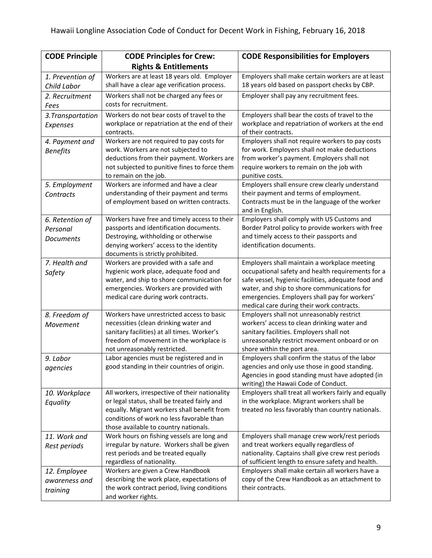| <b>CODE Principle</b> | <b>CODE Principles for Crew:</b>                                              | <b>CODE Responsibilities for Employers</b>                                                   |
|-----------------------|-------------------------------------------------------------------------------|----------------------------------------------------------------------------------------------|
|                       | <b>Rights &amp; Entitlements</b>                                              |                                                                                              |
| 1. Prevention of      | Workers are at least 18 years old. Employer                                   | Employers shall make certain workers are at least                                            |
| Child Labor           | shall have a clear age verification process.                                  | 18 years old based on passport checks by CBP.                                                |
| 2. Recruitment        | Workers shall not be charged any fees or                                      | Employer shall pay any recruitment fees.                                                     |
| Fees                  | costs for recruitment.                                                        |                                                                                              |
| 3. Transportation     | Workers do not bear costs of travel to the                                    | Employers shall bear the costs of travel to the                                              |
| Expenses              | workplace or repatriation at the end of their                                 | workplace and repatriation of workers at the end                                             |
|                       | contracts.                                                                    | of their contracts.                                                                          |
| 4. Payment and        | Workers are not required to pay costs for                                     | Employers shall not require workers to pay costs                                             |
| <b>Benefits</b>       | work. Workers are not subjected to                                            | for work. Employers shall not make deductions                                                |
|                       | deductions from their payment. Workers are                                    | from worker's payment. Employers shall not                                                   |
|                       | not subjected to punitive fines to force them<br>to remain on the job.        | require workers to remain on the job with<br>punitive costs.                                 |
| 5. Employment         | Workers are informed and have a clear                                         | Employers shall ensure crew clearly understand                                               |
| Contracts             | understanding of their payment and terms                                      | their payment and terms of employment.                                                       |
|                       | of employment based on written contracts.                                     | Contracts must be in the language of the worker                                              |
|                       |                                                                               | and in English.                                                                              |
| 6. Retention of       | Workers have free and timely access to their                                  | Employers shall comply with US Customs and                                                   |
| Personal              | passports and identification documents.                                       | Border Patrol policy to provide workers with free                                            |
| <b>Documents</b>      | Destroying, withholding or otherwise                                          | and timely access to their passports and                                                     |
|                       | denying workers' access to the identity                                       | identification documents.                                                                    |
|                       | documents is strictly prohibited.                                             |                                                                                              |
| 7. Health and         | Workers are provided with a safe and                                          | Employers shall maintain a workplace meeting                                                 |
| Safety                | hygienic work place, adequate food and                                        | occupational safety and health requirements for a                                            |
|                       | water, and ship to shore communication for                                    | safe vessel, hygienic facilities, adequate food and                                          |
|                       | emergencies. Workers are provided with<br>medical care during work contracts. | water, and ship to shore communications for<br>emergencies. Employers shall pay for workers' |
|                       |                                                                               | medical care during their work contracts.                                                    |
| 8. Freedom of         | Workers have unrestricted access to basic                                     | Employers shall not unreasonably restrict                                                    |
| Movement              | necessities (clean drinking water and                                         | workers' access to clean drinking water and                                                  |
|                       | sanitary facilities) at all times. Worker's                                   | sanitary facilities. Employers shall not                                                     |
|                       | freedom of movement in the workplace is                                       | unreasonably restrict movement onboard or on                                                 |
|                       | not unreasonably restricted.                                                  | shore within the port area.                                                                  |
| 9. Labor              | Labor agencies must be registered and in                                      | Employers shall confirm the status of the labor                                              |
| agencies              | good standing in their countries of origin.                                   | agencies and only use those in good standing.                                                |
|                       |                                                                               | Agencies in good standing must have adopted (in                                              |
|                       | All workers, irrespective of their nationality                                | writing) the Hawaii Code of Conduct.<br>Employers shall treat all workers fairly and equally |
| 10. Workplace         | or legal status, shall be treated fairly and                                  | in the workplace. Migrant workers shall be                                                   |
| Equality              | equally. Migrant workers shall benefit from                                   | treated no less favorably than country nationals.                                            |
|                       | conditions of work no less favorable than                                     |                                                                                              |
|                       | those available to country nationals.                                         |                                                                                              |
| 11. Work and          | Work hours on fishing vessels are long and                                    | Employers shall manage crew work/rest periods                                                |
| Rest periods          | irregular by nature. Workers shall be given                                   | and treat workers equally regardless of                                                      |
|                       | rest periods and be treated equally                                           | nationality. Captains shall give crew rest periods                                           |
|                       | regardless of nationality.                                                    | of sufficient length to ensure safety and health.                                            |
| 12. Employee          | Workers are given a Crew Handbook                                             | Employers shall make certain all workers have a                                              |
| awareness and         | describing the work place, expectations of                                    | copy of the Crew Handbook as an attachment to                                                |
| training              | the work contract period, living conditions                                   | their contracts.                                                                             |
|                       | and worker rights.                                                            |                                                                                              |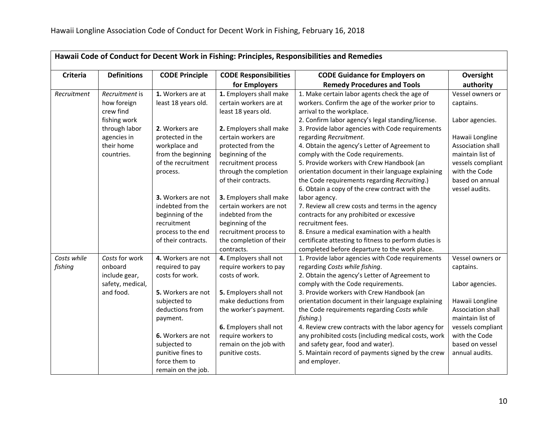| Hawaii Code of Conduct for Decent Work in Fishing: Principles, Responsibilities and Remedies |                    |                                 |                                              |                                                                                               |                   |
|----------------------------------------------------------------------------------------------|--------------------|---------------------------------|----------------------------------------------|-----------------------------------------------------------------------------------------------|-------------------|
| <b>Criteria</b>                                                                              | <b>Definitions</b> | <b>CODE Principle</b>           | <b>CODE Responsibilities</b>                 | <b>CODE Guidance for Employers on</b>                                                         | Oversight         |
|                                                                                              |                    |                                 | for Employers                                | <b>Remedy Procedures and Tools</b>                                                            | authority         |
| Recruitment                                                                                  | Recruitment is     | 1. Workers are at               | 1. Employers shall make                      | 1. Make certain labor agents check the age of                                                 | Vessel owners or  |
|                                                                                              | how foreign        | least 18 years old.             | certain workers are at                       | workers. Confirm the age of the worker prior to                                               | captains.         |
|                                                                                              | crew find          |                                 | least 18 years old.                          | arrival to the workplace.                                                                     |                   |
|                                                                                              | fishing work       |                                 |                                              | 2. Confirm labor agency's legal standing/license.                                             | Labor agencies.   |
|                                                                                              | through labor      | 2. Workers are                  | 2. Employers shall make                      | 3. Provide labor agencies with Code requirements                                              |                   |
|                                                                                              | agencies in        | protected in the                | certain workers are                          | regarding Recruitment.                                                                        | Hawaii Longline   |
|                                                                                              | their home         | workplace and                   | protected from the                           | 4. Obtain the agency's Letter of Agreement to                                                 | Association shall |
|                                                                                              | countries.         | from the beginning              | beginning of the                             | comply with the Code requirements.                                                            | maintain list of  |
|                                                                                              |                    | of the recruitment              | recruitment process                          | 5. Provide workers with Crew Handbook (an                                                     | vessels compliant |
|                                                                                              |                    | process.                        | through the completion                       | orientation document in their language explaining                                             | with the Code     |
|                                                                                              |                    |                                 | of their contracts.                          | the Code requirements regarding Recruiting.)                                                  | based on annual   |
|                                                                                              |                    |                                 |                                              | 6. Obtain a copy of the crew contract with the                                                | vessel audits.    |
|                                                                                              |                    | 3. Workers are not              | 3. Employers shall make                      | labor agency.                                                                                 |                   |
|                                                                                              |                    | indebted from the               | certain workers are not<br>indebted from the | 7. Review all crew costs and terms in the agency<br>contracts for any prohibited or excessive |                   |
|                                                                                              |                    | beginning of the<br>recruitment | beginning of the                             | recruitment fees.                                                                             |                   |
|                                                                                              |                    | process to the end              | recruitment process to                       | 8. Ensure a medical examination with a health                                                 |                   |
|                                                                                              |                    | of their contracts.             | the completion of their                      | certificate attesting to fitness to perform duties is                                         |                   |
|                                                                                              |                    |                                 | contracts.                                   | completed before departure to the work place.                                                 |                   |
| Costs while                                                                                  | Costs for work     | 4. Workers are not              | 4. Employers shall not                       | 1. Provide labor agencies with Code requirements                                              | Vessel owners or  |
| fishing                                                                                      | onboard            | required to pay                 | require workers to pay                       | regarding Costs while fishing.                                                                | captains.         |
|                                                                                              | include gear,      | costs for work.                 | costs of work.                               | 2. Obtain the agency's Letter of Agreement to                                                 |                   |
|                                                                                              | safety, medical,   |                                 |                                              | comply with the Code requirements.                                                            | Labor agencies.   |
|                                                                                              | and food.          | 5. Workers are not              | 5. Employers shall not                       | 3. Provide workers with Crew Handbook (an                                                     |                   |
|                                                                                              |                    | subjected to                    | make deductions from                         | orientation document in their language explaining                                             | Hawaii Longline   |
|                                                                                              |                    | deductions from                 | the worker's payment.                        | the Code requirements regarding Costs while                                                   | Association shall |
|                                                                                              |                    | payment.                        |                                              | fishing.)                                                                                     | maintain list of  |
|                                                                                              |                    |                                 | 6. Employers shall not                       | 4. Review crew contracts with the labor agency for                                            | vessels compliant |
|                                                                                              |                    | 6. Workers are not              | require workers to                           | any prohibited costs (including medical costs, work                                           | with the Code     |
|                                                                                              |                    | subjected to                    | remain on the job with                       | and safety gear, food and water).                                                             | based on vessel   |
|                                                                                              |                    | punitive fines to               | punitive costs.                              | 5. Maintain record of payments signed by the crew                                             | annual audits.    |
|                                                                                              |                    | force them to                   |                                              | and employer.                                                                                 |                   |
|                                                                                              |                    | remain on the job.              |                                              |                                                                                               |                   |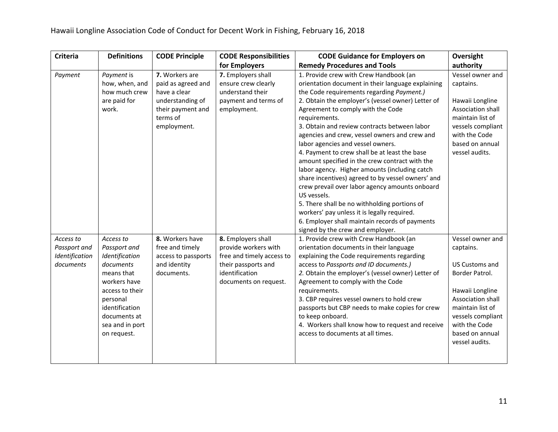| Criteria                                                 | <b>Definitions</b>                                                                                                                                                                        | <b>CODE Principle</b>                                                                                                    | <b>CODE Responsibilities</b>                                                                                                              | <b>CODE Guidance for Employers on</b>                                                                                                                                                                                                                                                                                                                                                                                                                                                                                                                                                                                                                                                                                                                                                                                                                    | Oversight                                                                                                                                                                                                       |
|----------------------------------------------------------|-------------------------------------------------------------------------------------------------------------------------------------------------------------------------------------------|--------------------------------------------------------------------------------------------------------------------------|-------------------------------------------------------------------------------------------------------------------------------------------|----------------------------------------------------------------------------------------------------------------------------------------------------------------------------------------------------------------------------------------------------------------------------------------------------------------------------------------------------------------------------------------------------------------------------------------------------------------------------------------------------------------------------------------------------------------------------------------------------------------------------------------------------------------------------------------------------------------------------------------------------------------------------------------------------------------------------------------------------------|-----------------------------------------------------------------------------------------------------------------------------------------------------------------------------------------------------------------|
|                                                          |                                                                                                                                                                                           |                                                                                                                          | for Employers                                                                                                                             | <b>Remedy Procedures and Tools</b>                                                                                                                                                                                                                                                                                                                                                                                                                                                                                                                                                                                                                                                                                                                                                                                                                       | authority                                                                                                                                                                                                       |
| Payment                                                  | Payment is<br>how, when, and<br>how much crew<br>are paid for<br>work.                                                                                                                    | 7. Workers are<br>paid as agreed and<br>have a clear<br>understanding of<br>their payment and<br>terms of<br>employment. | 7. Employers shall<br>ensure crew clearly<br>understand their<br>payment and terms of<br>employment.                                      | 1. Provide crew with Crew Handbook (an<br>orientation document in their language explaining<br>the Code requirements regarding Payment.)<br>2. Obtain the employer's (vessel owner) Letter of<br>Agreement to comply with the Code<br>requirements.<br>3. Obtain and review contracts between labor<br>agencies and crew, vessel owners and crew and<br>labor agencies and vessel owners.<br>4. Payment to crew shall be at least the base<br>amount specified in the crew contract with the<br>labor agency. Higher amounts (including catch<br>share incentives) agreed to by vessel owners' and<br>crew prevail over labor agency amounts onboard<br>US vessels.<br>5. There shall be no withholding portions of<br>workers' pay unless it is legally required.<br>6. Employer shall maintain records of payments<br>signed by the crew and employer. | Vessel owner and<br>captains.<br>Hawaii Longline<br>Association shall<br>maintain list of<br>vessels compliant<br>with the Code<br>based on annual<br>vessel audits.                                            |
| Access to<br>Passport and<br>Identification<br>documents | Access to<br>Passport and<br>Identification<br>documents<br>means that<br>workers have<br>access to their<br>personal<br>identification<br>documents at<br>sea and in port<br>on request. | 8. Workers have<br>free and timely<br>access to passports<br>and identity<br>documents.                                  | 8. Employers shall<br>provide workers with<br>free and timely access to<br>their passports and<br>identification<br>documents on request. | 1. Provide crew with Crew Handbook (an<br>orientation documents in their language<br>explaining the Code requirements regarding<br>access to Passports and ID documents.)<br>2. Obtain the employer's (vessel owner) Letter of<br>Agreement to comply with the Code<br>requirements.<br>3. CBP requires vessel owners to hold crew<br>passports but CBP needs to make copies for crew<br>to keep onboard.<br>4. Workers shall know how to request and receive<br>access to documents at all times.                                                                                                                                                                                                                                                                                                                                                       | Vessel owner and<br>captains.<br><b>US Customs and</b><br>Border Patrol.<br>Hawaii Longline<br>Association shall<br>maintain list of<br>vessels compliant<br>with the Code<br>based on annual<br>vessel audits. |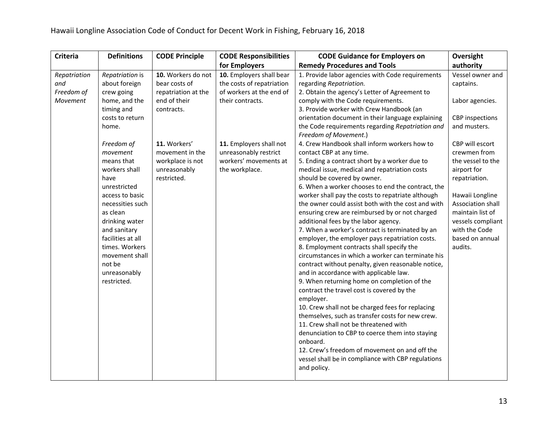| <b>Definitions</b><br><b>Criteria</b><br><b>CODE Principle</b>                                                                                                                                                                                                                                                                                                                                                                                                                                                                                                                                                       | <b>CODE Responsibilities</b><br><b>CODE Guidance for Employers on</b>                                                                                                                                                                                                                                                                                                                                                                                                                                                                                                                                                                                                                                                                                                                                                                                                                                                                                                                                                                                                                                                                                                                                                                                                                                                                                                                                                                                                                                                                                                                                                                                                                                                                                                    | Oversight                                                                                                                                                                                                                                                                                                          |
|----------------------------------------------------------------------------------------------------------------------------------------------------------------------------------------------------------------------------------------------------------------------------------------------------------------------------------------------------------------------------------------------------------------------------------------------------------------------------------------------------------------------------------------------------------------------------------------------------------------------|--------------------------------------------------------------------------------------------------------------------------------------------------------------------------------------------------------------------------------------------------------------------------------------------------------------------------------------------------------------------------------------------------------------------------------------------------------------------------------------------------------------------------------------------------------------------------------------------------------------------------------------------------------------------------------------------------------------------------------------------------------------------------------------------------------------------------------------------------------------------------------------------------------------------------------------------------------------------------------------------------------------------------------------------------------------------------------------------------------------------------------------------------------------------------------------------------------------------------------------------------------------------------------------------------------------------------------------------------------------------------------------------------------------------------------------------------------------------------------------------------------------------------------------------------------------------------------------------------------------------------------------------------------------------------------------------------------------------------------------------------------------------------|--------------------------------------------------------------------------------------------------------------------------------------------------------------------------------------------------------------------------------------------------------------------------------------------------------------------|
|                                                                                                                                                                                                                                                                                                                                                                                                                                                                                                                                                                                                                      | <b>Remedy Procedures and Tools</b><br>for Employers                                                                                                                                                                                                                                                                                                                                                                                                                                                                                                                                                                                                                                                                                                                                                                                                                                                                                                                                                                                                                                                                                                                                                                                                                                                                                                                                                                                                                                                                                                                                                                                                                                                                                                                      | authority                                                                                                                                                                                                                                                                                                          |
| 10. Workers do not<br>Repatriation<br>Repatriation is<br>about foreign<br>bear costs of<br>and<br>Freedom of<br>crew going<br>repatriation at the<br>Movement<br>end of their<br>home, and the<br>timing and<br>contracts.<br>costs to return<br>home.<br>11. Workers'<br>Freedom of<br>movement in the<br>movement<br>means that<br>workplace is not<br>workers shall<br>unreasonably<br>restricted.<br>have<br>unrestricted<br>access to basic<br>necessities such<br>as clean<br>drinking water<br>and sanitary<br>facilities at all<br>times. Workers<br>movement shall<br>not be<br>unreasonably<br>restricted. | 10. Employers shall bear<br>1. Provide labor agencies with Code requirements<br>the costs of repatriation<br>regarding Repatriation.<br>of workers at the end of<br>2. Obtain the agency's Letter of Agreement to<br>their contracts.<br>comply with the Code requirements.<br>3. Provide worker with Crew Handbook (an<br>orientation document in their language explaining<br>the Code requirements regarding Repatriation and<br>Freedom of Movement.)<br>4. Crew Handbook shall inform workers how to<br>11. Employers shall not<br>unreasonably restrict<br>contact CBP at any time.<br>workers' movements at<br>5. Ending a contract short by a worker due to<br>the workplace.<br>medical issue, medical and repatriation costs<br>should be covered by owner.<br>6. When a worker chooses to end the contract, the<br>worker shall pay the costs to repatriate although<br>the owner could assist both with the cost and with<br>ensuring crew are reimbursed by or not charged<br>additional fees by the labor agency.<br>7. When a worker's contract is terminated by an<br>employer, the employer pays repatriation costs.<br>8. Employment contracts shall specify the<br>circumstances in which a worker can terminate his<br>contract without penalty, given reasonable notice,<br>and in accordance with applicable law.<br>9. When returning home on completion of the<br>contract the travel cost is covered by the<br>employer.<br>10. Crew shall not be charged fees for replacing<br>themselves, such as transfer costs for new crew.<br>11. Crew shall not be threatened with<br>denunciation to CBP to coerce them into staying<br>onboard.<br>12. Crew's freedom of movement on and off the<br>vessel shall be in compliance with CBP regulations | Vessel owner and<br>captains.<br>Labor agencies.<br><b>CBP</b> inspections<br>and musters.<br>CBP will escort<br>crewmen from<br>the vessel to the<br>airport for<br>repatriation.<br>Hawaii Longline<br>Association shall<br>maintain list of<br>vessels compliant<br>with the Code<br>based on annual<br>audits. |
|                                                                                                                                                                                                                                                                                                                                                                                                                                                                                                                                                                                                                      | and policy.                                                                                                                                                                                                                                                                                                                                                                                                                                                                                                                                                                                                                                                                                                                                                                                                                                                                                                                                                                                                                                                                                                                                                                                                                                                                                                                                                                                                                                                                                                                                                                                                                                                                                                                                                              |                                                                                                                                                                                                                                                                                                                    |